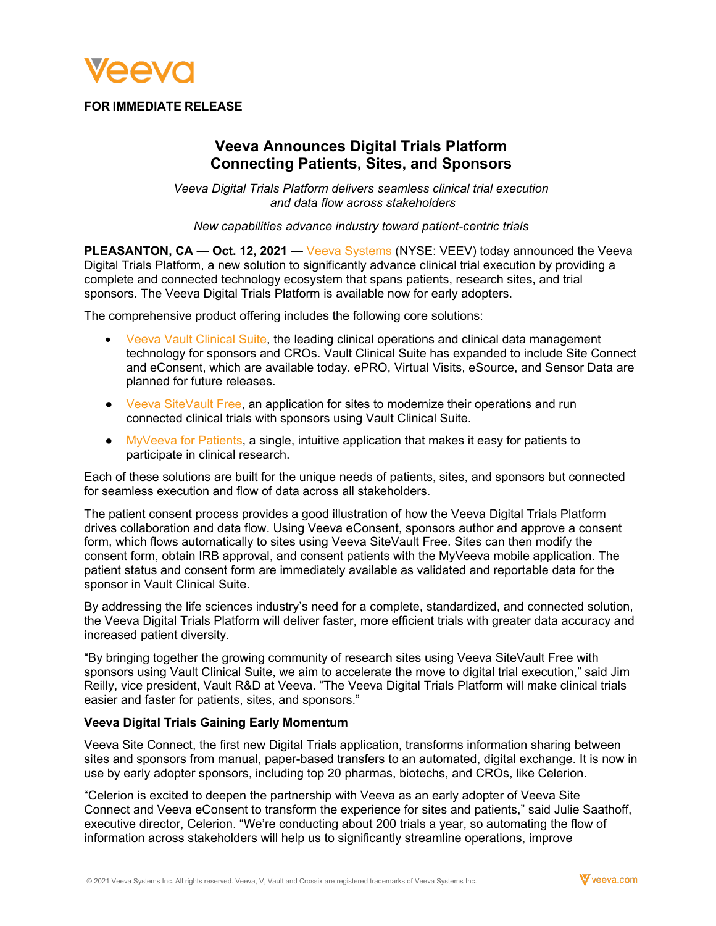

## **FOR IMMEDIATE RELEASE**

# **Veeva Announces Digital Trials Platform Connecting Patients, Sites, and Sponsors**

*Veeva Digital Trials Platform delivers seamless clinical trial execution and data flow across stakeholders* 

*New capabilities advance industry toward patient-centric trials* 

**PLEASANTON, CA — Oct. 12, 2021 —** [Veeva Systems](https://www.veeva.com/) (NYSE: VEEV) today announced the Veeva Digital Trials Platform, a new solution to significantly advance clinical trial execution by providing a complete and connected technology ecosystem that spans patients, research sites, and trial sponsors. The Veeva Digital Trials Platform is available now for early adopters.

The comprehensive product offering includes the following core solutions:

- [Veeva Vault Clinical Suite,](https://www.veeva.com/products/vault-clinical/) the leading clinical operations and clinical data management technology for sponsors and CROs. Vault Clinical Suite has expanded to include Site Connect and eConsent, which are available today. ePRO, Virtual Visits, eSource, and Sensor Data are planned for future releases.
- [Veeva SiteVault Free,](https://sites.veeva.com/) an application for sites to modernize their operations and run connected clinical trials with sponsors using Vault Clinical Suite.
- $\bullet$  [MyVeeva for Patients,](https://www.myveeva.com/patients) a single, intuitive application that makes it easy for patients to participate in clinical research.

Each of these solutions are built for the unique needs of patients, sites, and sponsors but connected for seamless execution and flow of data across all stakeholders.

The patient consent process provides a good illustration of how the Veeva Digital Trials Platform drives collaboration and data flow. Using Veeva eConsent, sponsors author and approve a consent form, which flows automatically to sites using Veeva SiteVault Free. Sites can then modify the consent form, obtain IRB approval, and consent patients with the MyVeeva mobile application. The patient status and consent form are immediately available as validated and reportable data for the sponsor in Vault Clinical Suite.

By addressing the life sciences industry's need for a complete, standardized, and connected solution, the Veeva Digital Trials Platform will deliver faster, more efficient trials with greater data accuracy and increased patient diversity.

"By bringing together the growing community of research sites using Veeva SiteVault Free with sponsors using Vault Clinical Suite, we aim to accelerate the move to digital trial execution," said Jim Reilly, vice president, Vault R&D at Veeva. "The Veeva Digital Trials Platform will make clinical trials easier and faster for patients, sites, and sponsors."

#### **Veeva Digital Trials Gaining Early Momentum**

Veeva Site Connect, the first new Digital Trials application, transforms information sharing between sites and sponsors from manual, paper-based transfers to an automated, digital exchange. It is now in use by early adopter sponsors, including top 20 pharmas, biotechs, and CROs, like Celerion.

"Celerion is excited to deepen the partnership with Veeva as an early adopter of Veeva Site Connect and Veeva eConsent to transform the experience for sites and patients," said Julie Saathoff, executive director, Celerion. "We're conducting about 200 trials a year, so automating the flow of information across stakeholders will help us to significantly streamline operations, improve